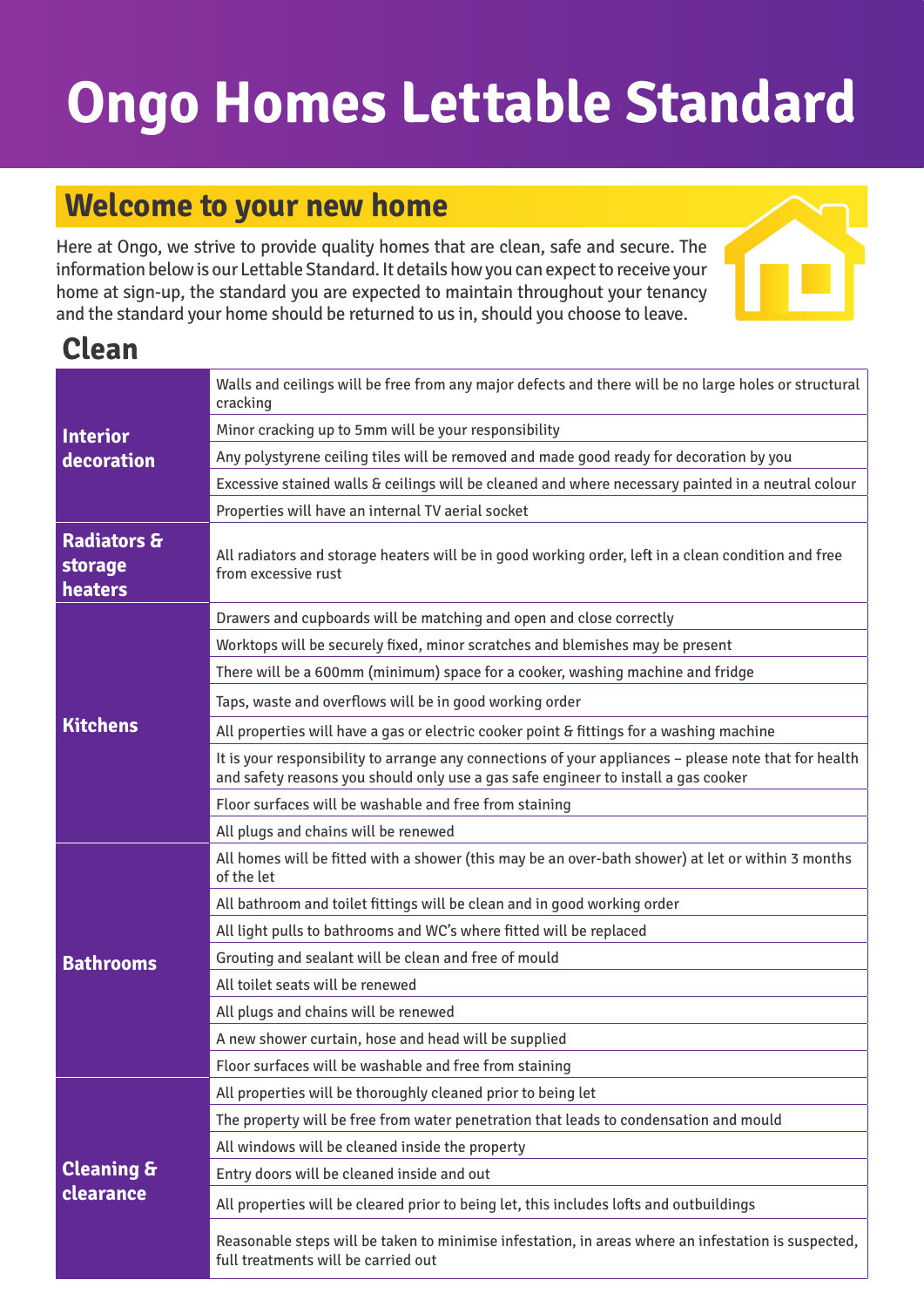## **Ongo Homes Lettable Standard**

## **Welcome to your new home**

Here at Ongo, we strive to provide quality homes that are clean, safe and secure. The information below is our Lettable Standard. It details how you can expect to receive your home at sign-up, the standard you are expected to maintain throughout your tenancy and the standard your home should be returned to us in, should you choose to leave.



## **Clean**

| <b>Interior</b><br>decoration                | Walls and ceilings will be free from any major defects and there will be no large holes or structural<br>cracking                                                                           |
|----------------------------------------------|---------------------------------------------------------------------------------------------------------------------------------------------------------------------------------------------|
|                                              | Minor cracking up to 5mm will be your responsibility                                                                                                                                        |
|                                              | Any polystyrene ceiling tiles will be removed and made good ready for decoration by you                                                                                                     |
|                                              | Excessive stained walls & ceilings will be cleaned and where necessary painted in a neutral colour                                                                                          |
|                                              | Properties will have an internal TV aerial socket                                                                                                                                           |
| <b>Radiators &amp;</b><br>storage<br>heaters | All radiators and storage heaters will be in good working order, left in a clean condition and free<br>from excessive rust                                                                  |
| <b>Kitchens</b>                              | Drawers and cupboards will be matching and open and close correctly                                                                                                                         |
|                                              | Worktops will be securely fixed, minor scratches and blemishes may be present                                                                                                               |
|                                              | There will be a 600mm (minimum) space for a cooker, washing machine and fridge                                                                                                              |
|                                              | Taps, waste and overflows will be in good working order                                                                                                                                     |
|                                              | All properties will have a gas or electric cooker point & fittings for a washing machine                                                                                                    |
|                                              | It is your responsibility to arrange any connections of your appliances - please note that for health<br>and safety reasons you should only use a gas safe engineer to install a gas cooker |
|                                              | Floor surfaces will be washable and free from staining                                                                                                                                      |
|                                              | All plugs and chains will be renewed                                                                                                                                                        |
| <b>Bathrooms</b>                             | All homes will be fitted with a shower (this may be an over-bath shower) at let or within 3 months<br>of the let                                                                            |
|                                              | All bathroom and toilet fittings will be clean and in good working order                                                                                                                    |
|                                              | All light pulls to bathrooms and WC's where fitted will be replaced                                                                                                                         |
|                                              | Grouting and sealant will be clean and free of mould                                                                                                                                        |
|                                              | All toilet seats will be renewed                                                                                                                                                            |
|                                              | All plugs and chains will be renewed                                                                                                                                                        |
|                                              | A new shower curtain, hose and head will be supplied                                                                                                                                        |
|                                              | Floor surfaces will be washable and free from staining                                                                                                                                      |
| <b>Cleaning &amp;</b><br>clearance           | All properties will be thoroughly cleaned prior to being let                                                                                                                                |
|                                              | The property will be free from water penetration that leads to condensation and mould                                                                                                       |
|                                              | All windows will be cleaned inside the property                                                                                                                                             |
|                                              | Entry doors will be cleaned inside and out                                                                                                                                                  |
|                                              | All properties will be cleared prior to being let, this includes lofts and outbuildings                                                                                                     |
|                                              | Reasonable steps will be taken to minimise infestation, in areas where an infestation is suspected,<br>full treatments will be carried out                                                  |